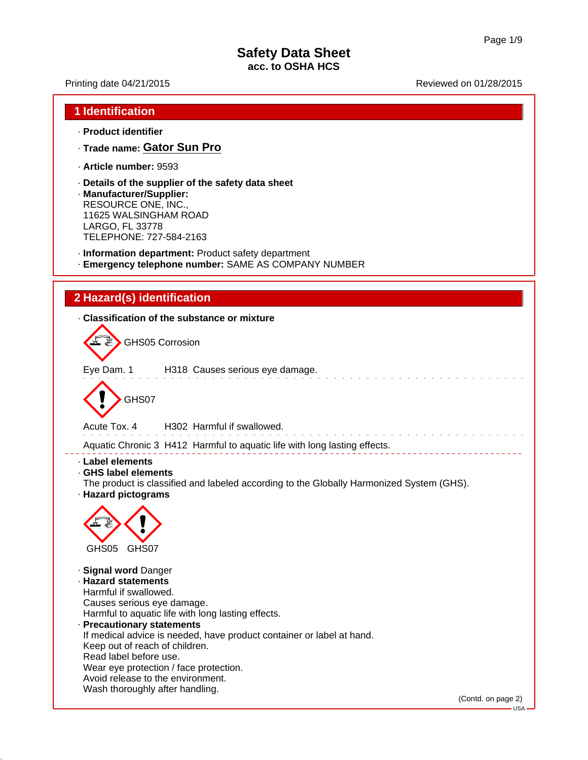· **Product identifier**

**1 Identification**

Printing date 04/21/2015 Reviewed on 01/28/2015

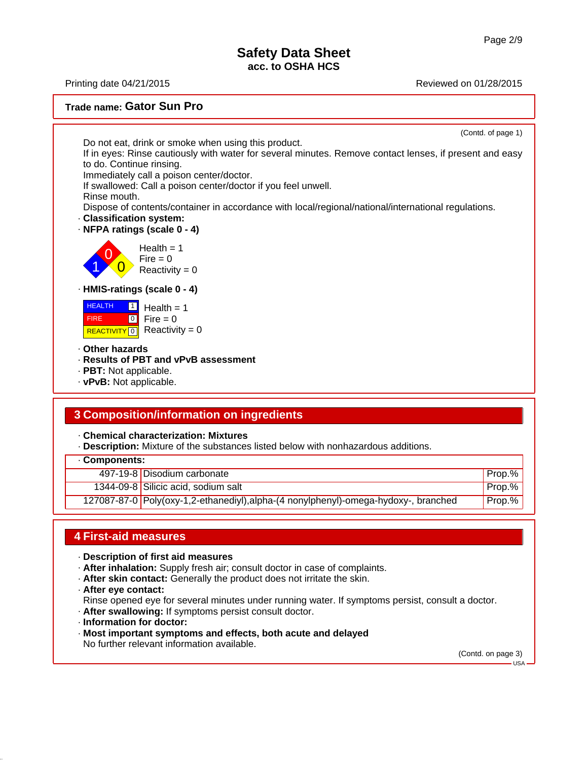Printing date 04/21/2015 Reviewed on 01/28/2015

#### **Trade name: Gator Sun Pro**



### **3 Composition/information on ingredients**

· **Chemical characterization: Mixtures**

· **Description:** Mixture of the substances listed below with nonhazardous additions.

|  |  |  | Components: |  |
|--|--|--|-------------|--|
|--|--|--|-------------|--|

| 497-19-8 Disodium carbonate                                                         | Prop.%   |
|-------------------------------------------------------------------------------------|----------|
| 1344-09-8 Silicic acid, sodium salt                                                 | Prop.%   |
| 127087-87-0 Poly(oxy-1,2-ethanediyl), alpha-(4 nonylphenyl)-omega-hydoxy-, branched | ' Prop.% |

#### **4 First-aid measures**

- · **Description of first aid measures**
- · **After inhalation:** Supply fresh air; consult doctor in case of complaints.
- · **After skin contact:** Generally the product does not irritate the skin.
- · **After eye contact:**

Rinse opened eye for several minutes under running water. If symptoms persist, consult a doctor.

- · **After swallowing:** If symptoms persist consult doctor.
- · **Information for doctor:**
- · **Most important symptoms and effects, both acute and delayed** No further relevant information available.

(Contd. on page 3)

 $-$ USA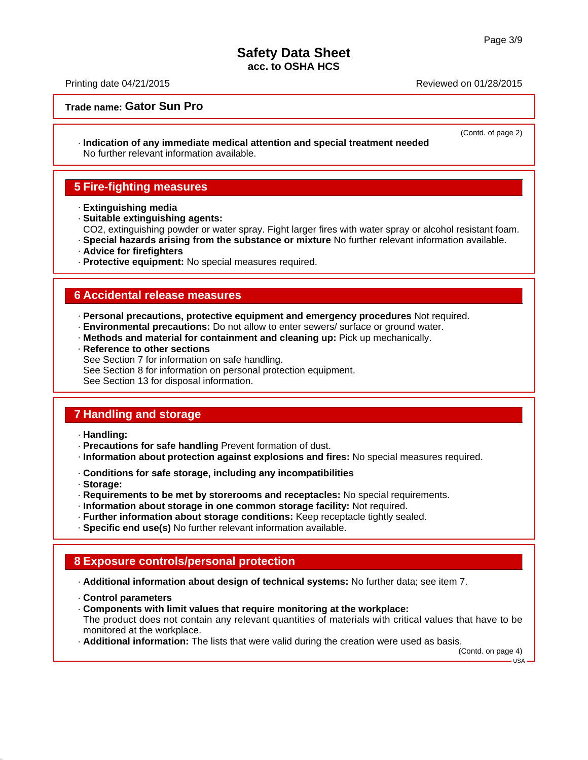Printing date 04/21/2015 Reviewed on 01/28/2015

#### **Trade name: Gator Sun Pro**

(Contd. of page 2)

· **Indication of any immediate medical attention and special treatment needed** No further relevant information available.

## **5 Fire-fighting measures**

- · **Extinguishing media**
- · **Suitable extinguishing agents:** CO2, extinguishing powder or water spray. Fight larger fires with water spray or alcohol resistant foam.
- · **Special hazards arising from the substance or mixture** No further relevant information available.
- · **Advice for firefighters**
- · **Protective equipment:** No special measures required.

#### **6 Accidental release measures**

- · **Personal precautions, protective equipment and emergency procedures** Not required.
- · **Environmental precautions:** Do not allow to enter sewers/ surface or ground water.
- · **Methods and material for containment and cleaning up:** Pick up mechanically.
- · **Reference to other sections**
- See Section 7 for information on safe handling.
- See Section 8 for information on personal protection equipment.

See Section 13 for disposal information.

# **7 Handling and storage**

- · **Handling:**
- · **Precautions for safe handling** Prevent formation of dust.
- · **Information about protection against explosions and fires:** No special measures required.
- · **Conditions for safe storage, including any incompatibilities**
- · **Storage:**
- · **Requirements to be met by storerooms and receptacles:** No special requirements.
- · **Information about storage in one common storage facility:** Not required.
- · **Further information about storage conditions:** Keep receptacle tightly sealed.
- · **Specific end use(s)** No further relevant information available.

### **8 Exposure controls/personal protection**

- · **Additional information about design of technical systems:** No further data; see item 7.
- · **Control parameters**
- · **Components with limit values that require monitoring at the workplace:**

The product does not contain any relevant quantities of materials with critical values that have to be monitored at the workplace.

· **Additional information:** The lists that were valid during the creation were used as basis.

(Contd. on page 4)  $491.$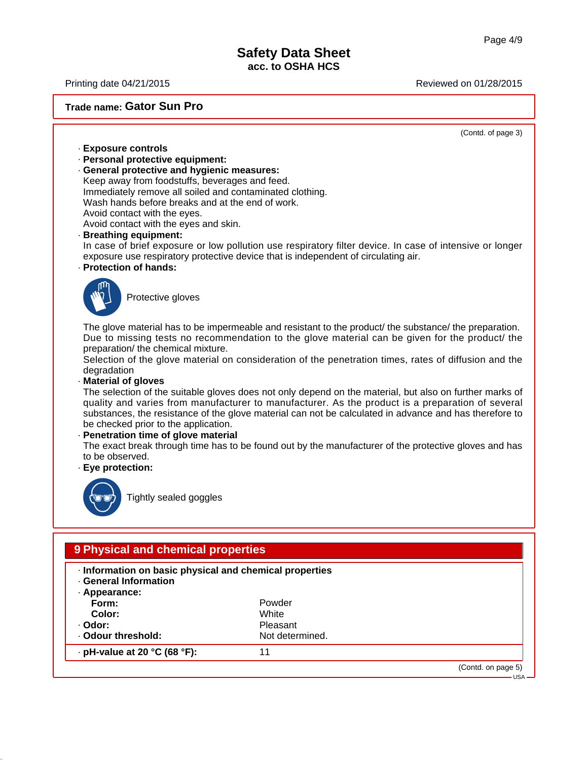Printing date 04/21/2015 Reviewed on 01/28/2015

**Trade name: Gator Sun Pro**

(Contd. of page 3)

- · **Exposure controls**
- · **Personal protective equipment:**
- · **General protective and hygienic measures:**

Keep away from foodstuffs, beverages and feed. Immediately remove all soiled and contaminated clothing. Wash hands before breaks and at the end of work. Avoid contact with the eyes. Avoid contact with the eyes and skin.

#### · **Breathing equipment:**

In case of brief exposure or low pollution use respiratory filter device. In case of intensive or longer exposure use respiratory protective device that is independent of circulating air.

#### · **Protection of hands:**



Protective gloves

The glove material has to be impermeable and resistant to the product/ the substance/ the preparation. Due to missing tests no recommendation to the glove material can be given for the product/ the preparation/ the chemical mixture.

Selection of the glove material on consideration of the penetration times, rates of diffusion and the degradation

· **Material of gloves**

The selection of the suitable gloves does not only depend on the material, but also on further marks of quality and varies from manufacturer to manufacturer. As the product is a preparation of several substances, the resistance of the glove material can not be calculated in advance and has therefore to be checked prior to the application.

#### · **Penetration time of glove material**

The exact break through time has to be found out by the manufacturer of the protective gloves and has to be observed.

· **Eye protection:**



Tightly sealed goggles

# **9 Physical and chemical properties**

- · **Information on basic physical and chemical properties**
- · **General Information**
- · **Appearance: Form:** Powder **Color:** White · **Odor:** Pleasant · Odour threshold: Not determined.

· **pH-value at 20 °C (68 °F):** 11

(Contd. on page 5)

USA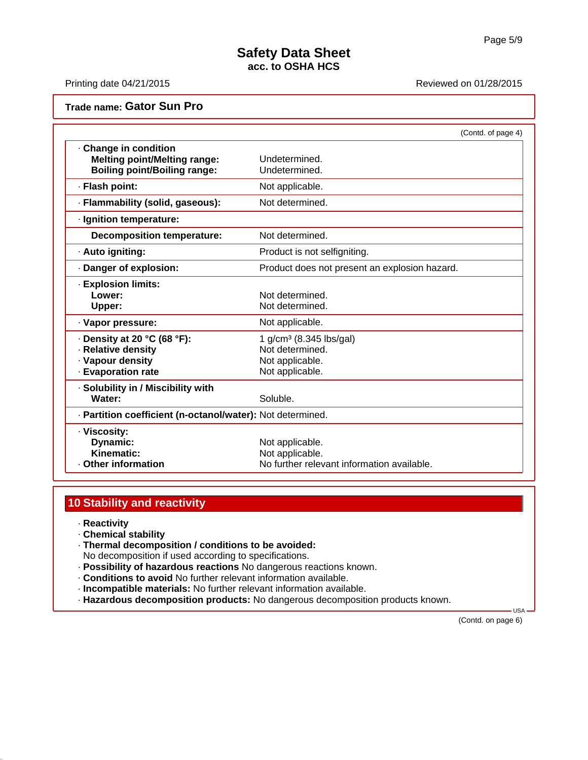Printing date 04/21/2015 Reviewed on 01/28/2015

### **Trade name: Gator Sun Pro**

|                                                                                                   | (Contd. of page 4)                                                                           |
|---------------------------------------------------------------------------------------------------|----------------------------------------------------------------------------------------------|
| Change in condition<br><b>Melting point/Melting range:</b><br><b>Boiling point/Boiling range:</b> | Undetermined.<br>Undetermined.                                                               |
| · Flash point:                                                                                    | Not applicable.                                                                              |
| · Flammability (solid, gaseous):                                                                  | Not determined.                                                                              |
| · Ignition temperature:                                                                           |                                                                                              |
| <b>Decomposition temperature:</b>                                                                 | Not determined.                                                                              |
| · Auto igniting:                                                                                  | Product is not selfigniting.                                                                 |
| · Danger of explosion:                                                                            | Product does not present an explosion hazard.                                                |
| <b>Explosion limits:</b><br>Lower:<br>Upper:                                                      | Not determined.<br>Not determined.                                                           |
| · Vapor pressure:                                                                                 | Not applicable.                                                                              |
| $\cdot$ Density at 20 °C (68 °F):<br>· Relative density<br>· Vapour density<br>· Evaporation rate | 1 g/cm <sup>3</sup> (8.345 lbs/gal)<br>Not determined.<br>Not applicable.<br>Not applicable. |
| · Solubility in / Miscibility with<br>Water:                                                      | Soluble.                                                                                     |
| · Partition coefficient (n-octanol/water): Not determined.                                        |                                                                                              |
| · Viscosity:<br>Dynamic:<br>Kinematic:<br><b>Other information</b>                                | Not applicable.<br>Not applicable.<br>No further relevant information available.             |

# **10 Stability and reactivity**

- · **Reactivity**
- · **Chemical stability**
- · **Thermal decomposition / conditions to be avoided:**

No decomposition if used according to specifications.

- · **Possibility of hazardous reactions** No dangerous reactions known.
- · **Conditions to avoid** No further relevant information available.
- · **Incompatible materials:** No further relevant information available.
- · **Hazardous decomposition products:** No dangerous decomposition products known.

(Contd. on page 6)

USA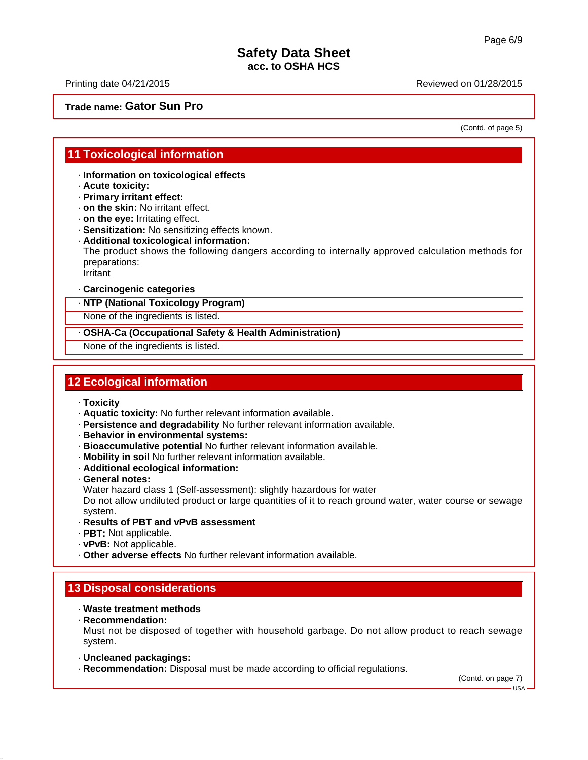Printing date 04/21/2015 Reviewed on 01/28/2015

#### **Trade name: Gator Sun Pro**

(Contd. of page 5)

#### **11 Toxicological information**

· **Information on toxicological effects**

- · **Acute toxicity:**
- · **Primary irritant effect:**
- · **on the skin:** No irritant effect.
- · **on the eye:** Irritating effect.
- · **Sensitization:** No sensitizing effects known.
- · **Additional toxicological information:**

The product shows the following dangers according to internally approved calculation methods for preparations:

Irritant

#### · **Carcinogenic categories**

· **NTP (National Toxicology Program)**

None of the ingredients is listed.

· **OSHA-Ca (Occupational Safety & Health Administration)**

None of the ingredients is listed.

## **12 Ecological information**

- · **Toxicity**
- · **Aquatic toxicity:** No further relevant information available.
- · **Persistence and degradability** No further relevant information available.
- · **Behavior in environmental systems:**
- · **Bioaccumulative potential** No further relevant information available.
- · **Mobility in soil** No further relevant information available.
- · **Additional ecological information:**
- · **General notes:**
- Water hazard class 1 (Self-assessment): slightly hazardous for water

Do not allow undiluted product or large quantities of it to reach ground water, water course or sewage system.

- · **Results of PBT and vPvB assessment**
- · **PBT:** Not applicable.
- · **vPvB:** Not applicable.
- · **Other adverse effects** No further relevant information available.

### **13 Disposal considerations**

#### · **Waste treatment methods**

· **Recommendation:**

Must not be disposed of together with household garbage. Do not allow product to reach sewage system.

- · **Uncleaned packagings:**
- · **Recommendation:** Disposal must be made according to official regulations.

(Contd. on page 7)

 $-1$ ISA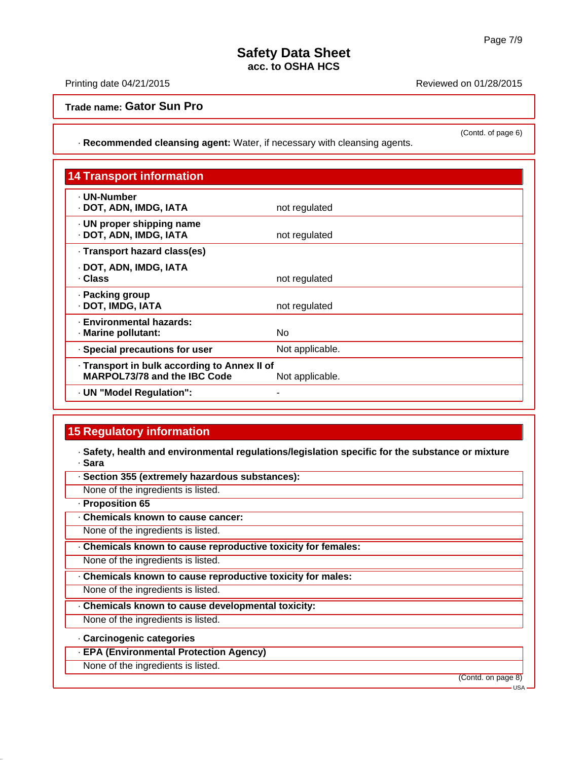(Contd. of page 6)

## **Safety Data Sheet acc. to OSHA HCS**

Printing date 04/21/2015 Reviewed on 01/28/2015

**Trade name: Gator Sun Pro**

· **Recommended cleansing agent:** Water, if necessary with cleansing agents.

| <b>14 Transport information</b>                                                     |                 |
|-------------------------------------------------------------------------------------|-----------------|
| - UN-Number<br>· DOT, ADN, IMDG, IATA                                               | not regulated   |
| · UN proper shipping name<br>· DOT, ADN, IMDG, IATA                                 | not regulated   |
| · Transport hazard class(es)                                                        |                 |
| · DOT, ADN, IMDG, IATA<br>. Class                                                   | not regulated   |
| · Packing group<br>· DOT, IMDG, IATA                                                | not regulated   |
| <b>Environmental hazards:</b><br>· Marine pollutant:                                | No              |
| Special precautions for user                                                        | Not applicable. |
| · Transport in bulk according to Annex II of<br><b>MARPOL73/78 and the IBC Code</b> | Not applicable. |
| · UN "Model Regulation":                                                            |                 |

# **15 Regulatory information**

· **Safety, health and environmental regulations/legislation specific for the substance or mixture** · **Sara**

· **Section 355 (extremely hazardous substances):**

None of the ingredients is listed.

· **Proposition 65**

· **Chemicals known to cause cancer:**

None of the ingredients is listed.

· **Chemicals known to cause reproductive toxicity for females:**

None of the ingredients is listed.

· **Chemicals known to cause reproductive toxicity for males:**

None of the ingredients is listed.

· **Chemicals known to cause developmental toxicity:**

None of the ingredients is listed.

#### · **Carcinogenic categories**

· **EPA (Environmental Protection Agency)**

None of the ingredients is listed.

(Contd. on page 8)

USA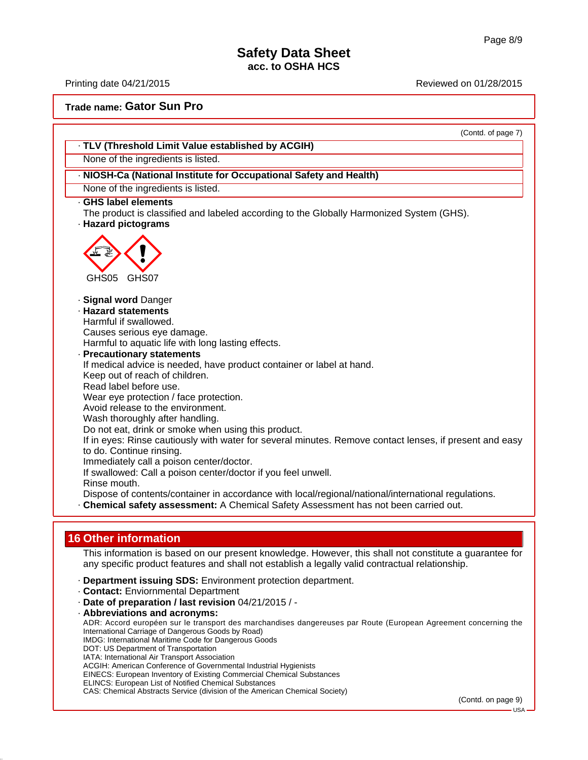Printing date 04/21/2015 Reviewed on 01/28/2015

(Contd. on page 9)

USA

**Trade name: Gator Sun Pro**

DOT: US Department of Transportation IATA: International Air Transport Association

ACGIH: American Conference of Governmental Industrial Hygienists EINECS: European Inventory of Existing Commercial Chemical Substances

CAS: Chemical Abstracts Service (division of the American Chemical Society)

ELINCS: European List of Notified Chemical Substances